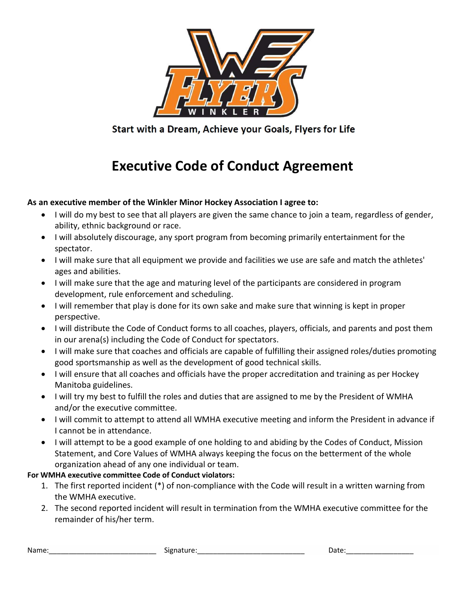

Start with a Dream, Achieve your Goals, Flyers for Life

## Executive Code of Conduct Agreement

## As an executive member of the Winkler Minor Hockey Association I agree to:

- I will do my best to see that all players are given the same chance to join a team, regardless of gender, ability, ethnic background or race.
- I will absolutely discourage, any sport program from becoming primarily entertainment for the spectator.
- I will make sure that all equipment we provide and facilities we use are safe and match the athletes' ages and abilities.
- I will make sure that the age and maturing level of the participants are considered in program development, rule enforcement and scheduling.
- I will remember that play is done for its own sake and make sure that winning is kept in proper perspective.
- I will distribute the Code of Conduct forms to all coaches, players, officials, and parents and post them in our arena(s) including the Code of Conduct for spectators.
- I will make sure that coaches and officials are capable of fulfilling their assigned roles/duties promoting good sportsmanship as well as the development of good technical skills.
- I will ensure that all coaches and officials have the proper accreditation and training as per Hockey Manitoba guidelines.
- I will try my best to fulfill the roles and duties that are assigned to me by the President of WMHA and/or the executive committee.
- I will commit to attempt to attend all WMHA executive meeting and inform the President in advance if I cannot be in attendance.
- I will attempt to be a good example of one holding to and abiding by the Codes of Conduct, Mission Statement, and Core Values of WMHA always keeping the focus on the betterment of the whole organization ahead of any one individual or team.

## For WMHA executive committee Code of Conduct violators:

- 1. The first reported incident (\*) of non-compliance with the Code will result in a written warning from the WMHA executive.
- 2. The second reported incident will result in termination from the WMHA executive committee for the remainder of his/her term.

Name:\_\_\_\_\_\_\_\_\_\_\_\_\_\_\_\_\_\_\_\_\_\_\_\_\_\_\_ Signature:\_\_\_\_\_\_\_\_\_\_\_\_\_\_\_\_\_\_\_\_\_\_\_\_\_\_\_ Date:\_\_\_\_\_\_\_\_\_\_\_\_\_\_\_\_\_